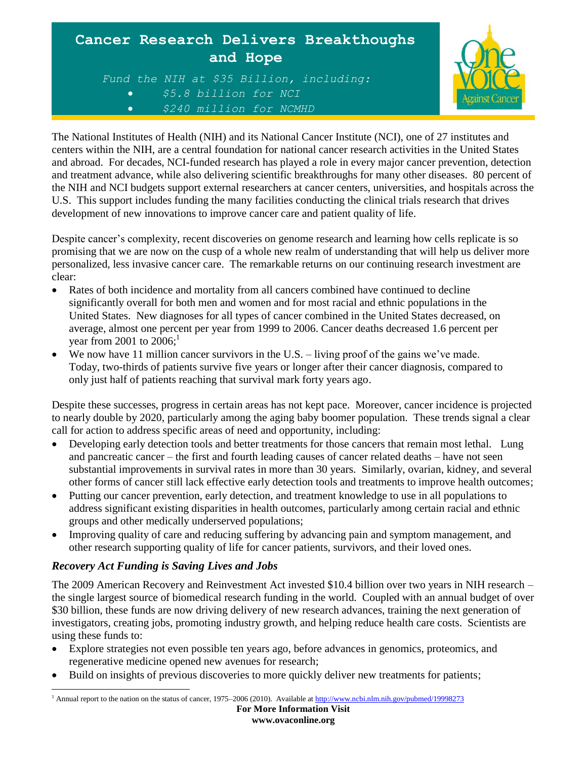



The National Institutes of Health (NIH) and its National Cancer Institute (NCI), one of 27 institutes and centers within the NIH, are a central foundation for national cancer research activities in the United States and abroad. For decades, NCI-funded research has played a role in every major cancer prevention, detection and treatment advance, while also delivering scientific breakthroughs for many other diseases. 80 percent of the NIH and NCI budgets support external researchers at cancer centers, universities, and hospitals across the U.S. This support includes funding the many facilities conducting the clinical trials research that drives development of new innovations to improve cancer care and patient quality of life.

Despite cancer's complexity, recent discoveries on genome research and learning how cells replicate is so promising that we are now on the cusp of a whole new realm of understanding that will help us deliver more personalized, less invasive cancer care. The remarkable returns on our continuing research investment are clear:

- Rates of both incidence and mortality from all cancers combined have continued to decline significantly overall for both men and women and for most racial and ethnic populations in the United States. New diagnoses for all types of cancer combined in the United States decreased, on average, almost one percent per year from 1999 to 2006. Cancer deaths decreased 1.6 percent per year from 2001 to  $2006$ ;<sup>1</sup>
- We now have 11 million cancer survivors in the U.S. living proof of the gains we've made. Today, two-thirds of patients survive five years or longer after their cancer diagnosis, compared to only just half of patients reaching that survival mark forty years ago.

Despite these successes, progress in certain areas has not kept pace. Moreover, cancer incidence is projected to nearly double by 2020, particularly among the aging baby boomer population. These trends signal a clear call for action to address specific areas of need and opportunity, including:

- Developing early detection tools and better treatments for those cancers that remain most lethal. Lung and pancreatic cancer – the first and fourth leading causes of cancer related deaths – have not seen substantial improvements in survival rates in more than 30 years. Similarly, ovarian, kidney, and several other forms of cancer still lack effective early detection tools and treatments to improve health outcomes;
- Putting our cancer prevention, early detection, and treatment knowledge to use in all populations to address significant existing disparities in health outcomes, particularly among certain racial and ethnic groups and other medically underserved populations;
- Improving quality of care and reducing suffering by advancing pain and symptom management, and other research supporting quality of life for cancer patients, survivors, and their loved ones.

## *Recovery Act Funding is Saving Lives and Jobs*

The 2009 American Recovery and Reinvestment Act invested \$10.4 billion over two years in NIH research – the single largest source of biomedical research funding in the world. Coupled with an annual budget of over \$30 billion, these funds are now driving delivery of new research advances, training the next generation of investigators, creating jobs, promoting industry growth, and helping reduce health care costs. Scientists are using these funds to:

- Explore strategies not even possible ten years ago, before advances in genomics, proteomics, and regenerative medicine opened new avenues for research;
- Build on insights of previous discoveries to more quickly deliver new treatments for patients;

 $\overline{a}$ <sup>1</sup> Annual report to the nation on the status of cancer, 1975–2006 (2010). Available at http://www.ncbi.nlm.nih.gov/pubmed/19998273